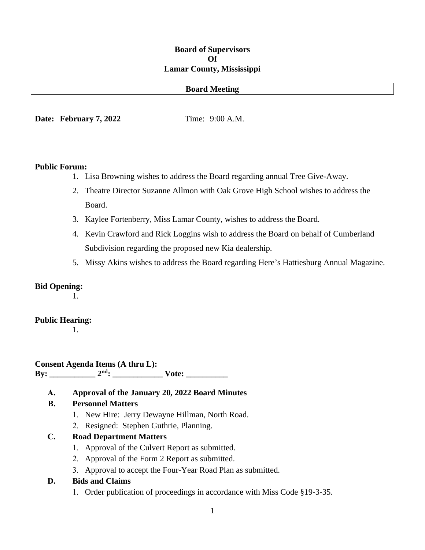### **Board of Supervisors Of Lamar County, Mississippi**

#### **Board Meeting**

**Date: February 7, 2022** Time: 9:00 A.M.

#### **Public Forum:**

- 1. Lisa Browning wishes to address the Board regarding annual Tree Give-Away.
- 2. Theatre Director Suzanne Allmon with Oak Grove High School wishes to address the Board.
- 3. Kaylee Fortenberry, Miss Lamar County, wishes to address the Board.
- 4. Kevin Crawford and Rick Loggins wish to address the Board on behalf of Cumberland Subdivision regarding the proposed new Kia dealership.
- 5. Missy Akins wishes to address the Board regarding Here's Hattiesburg Annual Magazine.

### **Bid Opening:**

1.

#### **Public Hearing:**

1.

**Consent Agenda Items (A thru L): By: \_\_\_\_\_\_\_\_\_\_\_ 2nd: \_\_\_\_\_\_\_\_\_\_\_\_ Vote: \_\_\_\_\_\_\_\_\_\_**

**A. Approval of the January 20, 2022 Board Minutes**

### **B. Personnel Matters**

- 1. New Hire: Jerry Dewayne Hillman, North Road.
- 2. Resigned: Stephen Guthrie, Planning.

#### **C. Road Department Matters**

- 1. Approval of the Culvert Report as submitted.
- 2. Approval of the Form 2 Report as submitted.
- 3. Approval to accept the Four-Year Road Plan as submitted.

#### **D. Bids and Claims**

1. Order publication of proceedings in accordance with Miss Code §19-3-35.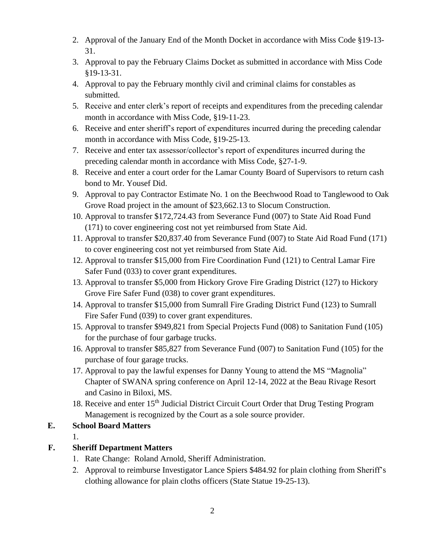- 2. Approval of the January End of the Month Docket in accordance with Miss Code §19-13- 31.
- 3. Approval to pay the February Claims Docket as submitted in accordance with Miss Code §19-13-31.
- 4. Approval to pay the February monthly civil and criminal claims for constables as submitted.
- 5. Receive and enter clerk's report of receipts and expenditures from the preceding calendar month in accordance with Miss Code, §19-11-23.
- 6. Receive and enter sheriff's report of expenditures incurred during the preceding calendar month in accordance with Miss Code, §19-25-13.
- 7. Receive and enter tax assessor/collector's report of expenditures incurred during the preceding calendar month in accordance with Miss Code, §27-1-9.
- 8. Receive and enter a court order for the Lamar County Board of Supervisors to return cash bond to Mr. Yousef Did.
- 9. Approval to pay Contractor Estimate No. 1 on the Beechwood Road to Tanglewood to Oak Grove Road project in the amount of \$23,662.13 to Slocum Construction.
- 10. Approval to transfer \$172,724.43 from Severance Fund (007) to State Aid Road Fund (171) to cover engineering cost not yet reimbursed from State Aid.
- 11. Approval to transfer \$20,837.40 from Severance Fund (007) to State Aid Road Fund (171) to cover engineering cost not yet reimbursed from State Aid.
- 12. Approval to transfer \$15,000 from Fire Coordination Fund (121) to Central Lamar Fire Safer Fund (033) to cover grant expenditures.
- 13. Approval to transfer \$5,000 from Hickory Grove Fire Grading District (127) to Hickory Grove Fire Safer Fund (038) to cover grant expenditures.
- 14. Approval to transfer \$15,000 from Sumrall Fire Grading District Fund (123) to Sumrall Fire Safer Fund (039) to cover grant expenditures.
- 15. Approval to transfer \$949,821 from Special Projects Fund (008) to Sanitation Fund (105) for the purchase of four garbage trucks.
- 16. Approval to transfer \$85,827 from Severance Fund (007) to Sanitation Fund (105) for the purchase of four garage trucks.
- 17. Approval to pay the lawful expenses for Danny Young to attend the MS "Magnolia" Chapter of SWANA spring conference on April 12-14, 2022 at the Beau Rivage Resort and Casino in Biloxi, MS.
- 18. Receive and enter 15<sup>th</sup> Judicial District Circuit Court Order that Drug Testing Program Management is recognized by the Court as a sole source provider.

### **E. School Board Matters**

1.

## **F. Sheriff Department Matters**

- 1. Rate Change: Roland Arnold, Sheriff Administration.
- 2. Approval to reimburse Investigator Lance Spiers \$484.92 for plain clothing from Sheriff's clothing allowance for plain cloths officers (State Statue 19-25-13).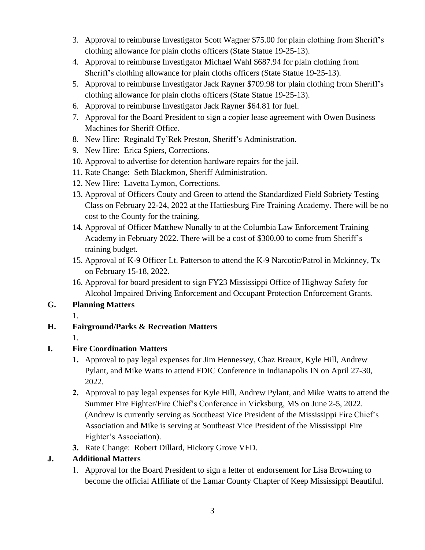- 3. Approval to reimburse Investigator Scott Wagner \$75.00 for plain clothing from Sheriff's clothing allowance for plain cloths officers (State Statue 19-25-13).
- 4. Approval to reimburse Investigator Michael Wahl \$687.94 for plain clothing from Sheriff's clothing allowance for plain cloths officers (State Statue 19-25-13).
- 5. Approval to reimburse Investigator Jack Rayner \$709.98 for plain clothing from Sheriff's clothing allowance for plain cloths officers (State Statue 19-25-13).
- 6. Approval to reimburse Investigator Jack Rayner \$64.81 for fuel.
- 7. Approval for the Board President to sign a copier lease agreement with Owen Business Machines for Sheriff Office.
- 8. New Hire: Reginald Ty'Rek Preston, Sheriff's Administration.
- 9. New Hire: Erica Spiers, Corrections.
- 10. Approval to advertise for detention hardware repairs for the jail.
- 11. Rate Change: Seth Blackmon, Sheriff Administration.
- 12. New Hire: Lavetta Lymon, Corrections.
- 13. Approval of Officers Couty and Green to attend the Standardized Field Sobriety Testing Class on February 22-24, 2022 at the Hattiesburg Fire Training Academy. There will be no cost to the County for the training.
- 14. Approval of Officer Matthew Nunally to at the Columbia Law Enforcement Training Academy in February 2022. There will be a cost of \$300.00 to come from Sheriff's training budget.
- 15. Approval of K-9 Officer Lt. Patterson to attend the K-9 Narcotic/Patrol in Mckinney, Tx on February 15-18, 2022.
- 16. Approval for board president to sign FY23 Mississippi Office of Highway Safety for Alcohol Impaired Driving Enforcement and Occupant Protection Enforcement Grants.

**G. Planning Matters**

1.

### **H. Fairground/Parks & Recreation Matters**

1.

### **I. Fire Coordination Matters**

- **1.** Approval to pay legal expenses for Jim Hennessey, Chaz Breaux, Kyle Hill, Andrew Pylant, and Mike Watts to attend FDIC Conference in Indianapolis IN on April 27-30, 2022.
- **2.** Approval to pay legal expenses for Kyle Hill, Andrew Pylant, and Mike Watts to attend the Summer Fire Fighter/Fire Chief's Conference in Vicksburg, MS on June 2-5, 2022. (Andrew is currently serving as Southeast Vice President of the Mississippi Fire Chief's Association and Mike is serving at Southeast Vice President of the Mississippi Fire Fighter's Association).
- **3.** Rate Change: Robert Dillard, Hickory Grove VFD.

### **J. Additional Matters**

1. Approval for the Board President to sign a letter of endorsement for Lisa Browning to become the official Affiliate of the Lamar County Chapter of Keep Mississippi Beautiful.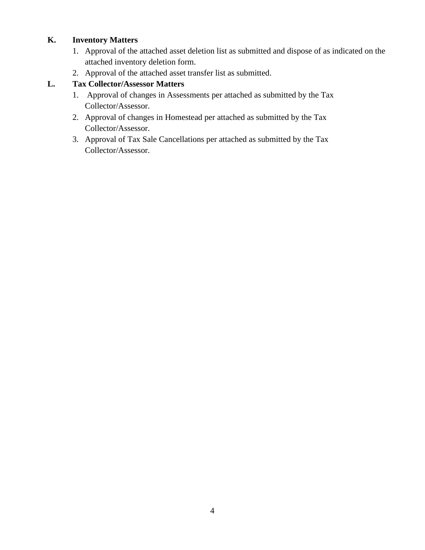### **K. Inventory Matters**

- 1. Approval of the attached asset deletion list as submitted and dispose of as indicated on the attached inventory deletion form.
- 2. Approval of the attached asset transfer list as submitted.

### **L. Tax Collector/Assessor Matters**

- 1. Approval of changes in Assessments per attached as submitted by the Tax Collector/Assessor.
- 2. Approval of changes in Homestead per attached as submitted by the Tax Collector/Assessor.
- 3. Approval of Tax Sale Cancellations per attached as submitted by the Tax Collector/Assessor.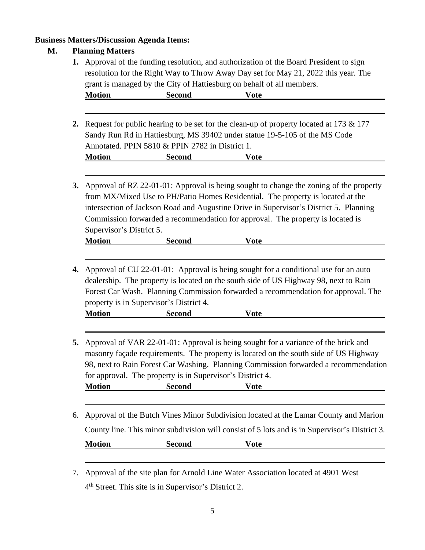## **Business Matters/Discussion Agenda Items:**

### **M. Planning Matters**

|                | grant is managed by the City of Hattiesburg on behalf of all members.                                                                                                                                                                                                                                                                                                            | <b>Second</b>                                             | <b>Vote</b>                                                                                                                                                                                                                                                                  |  |
|----------------|----------------------------------------------------------------------------------------------------------------------------------------------------------------------------------------------------------------------------------------------------------------------------------------------------------------------------------------------------------------------------------|-----------------------------------------------------------|------------------------------------------------------------------------------------------------------------------------------------------------------------------------------------------------------------------------------------------------------------------------------|--|
|                | <b>Motion</b>                                                                                                                                                                                                                                                                                                                                                                    |                                                           |                                                                                                                                                                                                                                                                              |  |
| $\mathbf{2}$ . |                                                                                                                                                                                                                                                                                                                                                                                  | Annotated. PPIN 5810 & PPIN 2782 in District 1.           | Request for public hearing to be set for the clean-up of property located at 173 & 177<br>Sandy Run Rd in Hattiesburg, MS 39402 under statue 19-5-105 of the MS Code                                                                                                         |  |
|                | <b>Motion</b>                                                                                                                                                                                                                                                                                                                                                                    | <b>Second</b>                                             | <b>Vote</b>                                                                                                                                                                                                                                                                  |  |
|                |                                                                                                                                                                                                                                                                                                                                                                                  |                                                           |                                                                                                                                                                                                                                                                              |  |
| <b>3.</b>      | Approval of RZ 22-01-01: Approval is being sought to change the zoning of the property<br>from MX/Mixed Use to PH/Patio Homes Residential. The property is located at the<br>intersection of Jackson Road and Augustine Drive in Supervisor's District 5. Planning<br>Commission forwarded a recommendation for approval. The property is located is<br>Supervisor's District 5. |                                                           |                                                                                                                                                                                                                                                                              |  |
|                |                                                                                                                                                                                                                                                                                                                                                                                  |                                                           |                                                                                                                                                                                                                                                                              |  |
|                | <b>Motion</b>                                                                                                                                                                                                                                                                                                                                                                    | <b>Second</b>                                             | <b>Vote</b>                                                                                                                                                                                                                                                                  |  |
|                |                                                                                                                                                                                                                                                                                                                                                                                  |                                                           |                                                                                                                                                                                                                                                                              |  |
|                |                                                                                                                                                                                                                                                                                                                                                                                  | property is in Supervisor's District 4.                   | 4. Approval of CU 22-01-01: Approval is being sought for a conditional use for an auto<br>dealership. The property is located on the south side of US Highway 98, next to Rain<br>Forest Car Wash. Planning Commission forwarded a recommendation for approval. The          |  |
|                | <b>Motion</b>                                                                                                                                                                                                                                                                                                                                                                    | <b>Second</b>                                             | <b>Vote</b>                                                                                                                                                                                                                                                                  |  |
|                |                                                                                                                                                                                                                                                                                                                                                                                  |                                                           |                                                                                                                                                                                                                                                                              |  |
|                |                                                                                                                                                                                                                                                                                                                                                                                  | for approval. The property is in Supervisor's District 4. | Approval of VAR 22-01-01: Approval is being sought for a variance of the brick and<br>masonry façade requirements. The property is located on the south side of US Highway<br><b>Vote</b>                                                                                    |  |
|                | <b>Motion</b>                                                                                                                                                                                                                                                                                                                                                                    | <b>Second</b>                                             |                                                                                                                                                                                                                                                                              |  |
|                |                                                                                                                                                                                                                                                                                                                                                                                  |                                                           |                                                                                                                                                                                                                                                                              |  |
| 5.<br>6.       |                                                                                                                                                                                                                                                                                                                                                                                  |                                                           | 98, next to Rain Forest Car Washing. Planning Commission forwarded a recommendation<br>Approval of the Butch Vines Minor Subdivision located at the Lamar County and Marion<br>County line. This minor subdivision will consist of 5 lots and is in Supervisor's District 3. |  |

7. Approval of the site plan for Arnold Line Water Association located at 4901 West 4<sup>th</sup> Street. This site is in Supervisor's District 2.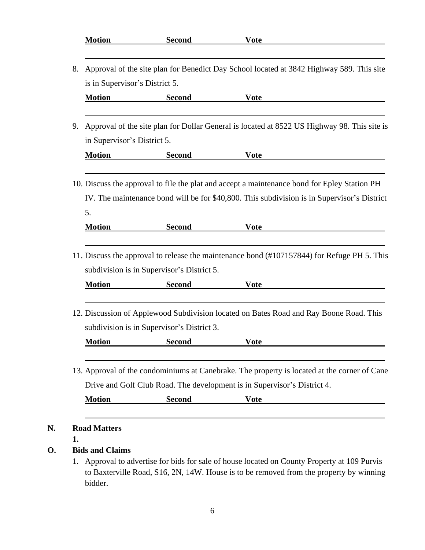|    | <b>Motion</b>                                                                               | <b>Second</b>                                               | <b>Vote</b>                                                                                                                                                                           |  |  |
|----|---------------------------------------------------------------------------------------------|-------------------------------------------------------------|---------------------------------------------------------------------------------------------------------------------------------------------------------------------------------------|--|--|
| 8. | Approval of the site plan for Benedict Day School located at 3842 Highway 589. This site    |                                                             |                                                                                                                                                                                       |  |  |
|    | is in Supervisor's District 5.                                                              |                                                             |                                                                                                                                                                                       |  |  |
|    | <b>Motion</b>                                                                               | <b>Second</b>                                               | <b>Vote</b>                                                                                                                                                                           |  |  |
| 9. | Approval of the site plan for Dollar General is located at 8522 US Highway 98. This site is |                                                             |                                                                                                                                                                                       |  |  |
|    | in Supervisor's District 5.                                                                 |                                                             |                                                                                                                                                                                       |  |  |
|    | <b>Motion</b>                                                                               | <b>Second</b>                                               | <b>Vote</b>                                                                                                                                                                           |  |  |
|    |                                                                                             |                                                             | 10. Discuss the approval to file the plat and accept a maintenance bond for Epley Station PH                                                                                          |  |  |
|    |                                                                                             |                                                             | IV. The maintenance bond will be for \$40,800. This subdivision is in Supervisor's District                                                                                           |  |  |
|    | 5.                                                                                          |                                                             |                                                                                                                                                                                       |  |  |
|    | <b>Motion</b>                                                                               | <b>Second</b>                                               | <b>Vote</b>                                                                                                                                                                           |  |  |
|    | <b>Motion</b>                                                                               | subdivision is in Supervisor's District 5.<br><b>Second</b> | <b>Vote</b>                                                                                                                                                                           |  |  |
|    |                                                                                             | subdivision is in Supervisor's District 3.                  | 11. Discuss the approval to release the maintenance bond (#107157844) for Refuge PH 5. This<br>12. Discussion of Applewood Subdivision located on Bates Road and Ray Boone Road. This |  |  |
|    | <b>Motion</b>                                                                               | <b>Second</b>                                               | <b>Vote</b>                                                                                                                                                                           |  |  |
|    |                                                                                             |                                                             | 13. Approval of the condominiums at Canebrake. The property is located at the corner of Cane                                                                                          |  |  |
|    |                                                                                             |                                                             | Drive and Golf Club Road. The development is in Supervisor's District 4.                                                                                                              |  |  |

**N.** 

**D.**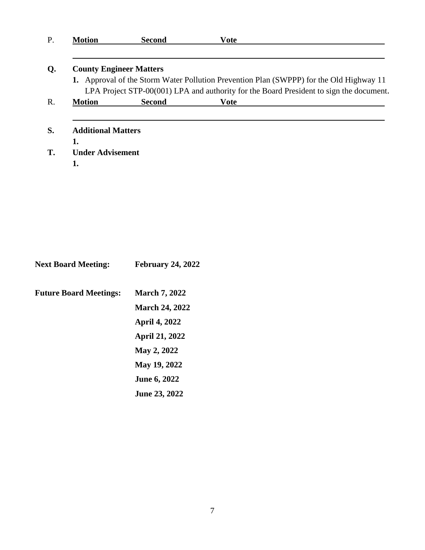| <b>Next Board Meeting:</b>    | <b>February 24, 2022</b> |
|-------------------------------|--------------------------|
| <b>Future Board Meetings:</b> | <b>March 7, 2022</b>     |
|                               | <b>March 24, 2022</b>    |
|                               | <b>April 4, 2022</b>     |
|                               | <b>April 21, 2022</b>    |
|                               | May 2, 2022              |
|                               | May 19, 2022             |
|                               | <b>June 6, 2022</b>      |
|                               | <b>June 23, 2022</b>     |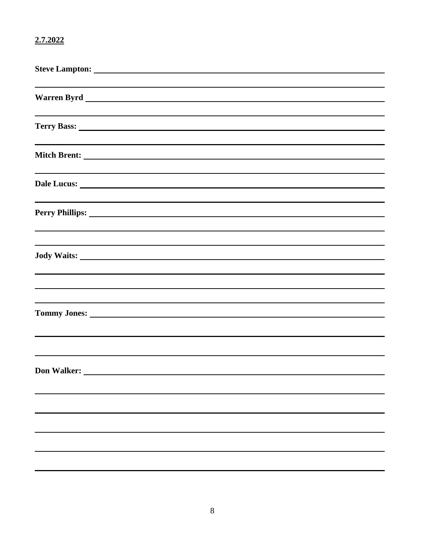## **2.7.2022**

| Perry Phillips: North Communication of the Communication of the Communication of the Communication of the Communication of the Communication of the Communication of the Communication of the Communication of the Communicati |  |  |
|--------------------------------------------------------------------------------------------------------------------------------------------------------------------------------------------------------------------------------|--|--|
|                                                                                                                                                                                                                                |  |  |
| and the control of the control of the control of the control of the control of the control of the control of the                                                                                                               |  |  |
|                                                                                                                                                                                                                                |  |  |
| <b>Tommy Jones:</b>                                                                                                                                                                                                            |  |  |
|                                                                                                                                                                                                                                |  |  |
|                                                                                                                                                                                                                                |  |  |
|                                                                                                                                                                                                                                |  |  |
|                                                                                                                                                                                                                                |  |  |
|                                                                                                                                                                                                                                |  |  |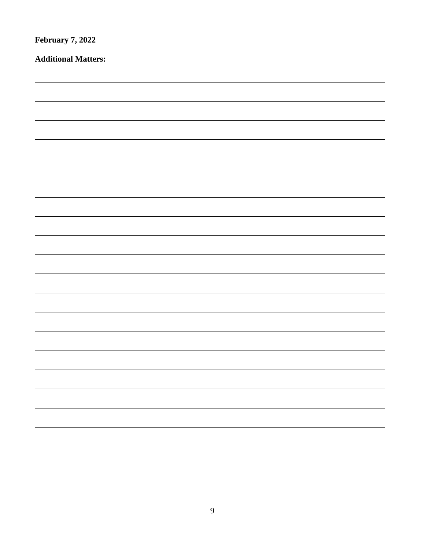| <b>February 7, 2022</b>    |  |  |  |
|----------------------------|--|--|--|
| <b>Additional Matters:</b> |  |  |  |
|                            |  |  |  |
|                            |  |  |  |
|                            |  |  |  |
|                            |  |  |  |
|                            |  |  |  |
|                            |  |  |  |
|                            |  |  |  |
|                            |  |  |  |
|                            |  |  |  |
|                            |  |  |  |
|                            |  |  |  |
|                            |  |  |  |
|                            |  |  |  |
|                            |  |  |  |
|                            |  |  |  |
|                            |  |  |  |
|                            |  |  |  |
|                            |  |  |  |
|                            |  |  |  |
|                            |  |  |  |
|                            |  |  |  |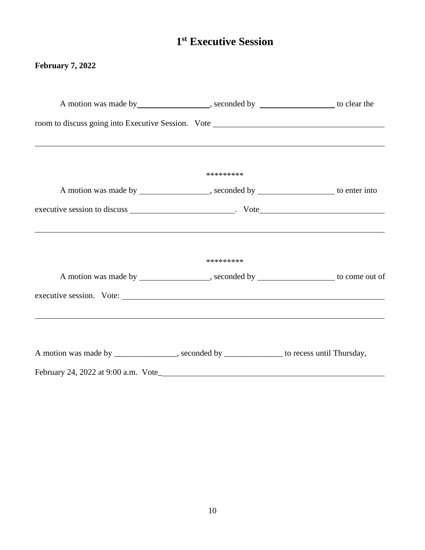# **1 st Executive Session**

## **February 7, 2022**

|                                                                                                                        | A motion was made by __________________, seconded by _________________ to clear the  |                                                                                      |
|------------------------------------------------------------------------------------------------------------------------|--------------------------------------------------------------------------------------|--------------------------------------------------------------------------------------|
|                                                                                                                        |                                                                                      |                                                                                      |
| <u> 1990 - Andrea Santa Andrea Andrea Andrea Andrea Andrea Andrea Andrea Andrea Andrea Andrea Andrea Andrea Andr</u>   |                                                                                      |                                                                                      |
|                                                                                                                        | *********                                                                            |                                                                                      |
|                                                                                                                        | A motion was made by _________________, seconded by __________________ to enter into |                                                                                      |
|                                                                                                                        |                                                                                      |                                                                                      |
|                                                                                                                        |                                                                                      |                                                                                      |
|                                                                                                                        | *********                                                                            |                                                                                      |
|                                                                                                                        |                                                                                      | A motion was made by _________________, seconded by _________________ to come out of |
|                                                                                                                        |                                                                                      |                                                                                      |
| <u> 1990 - Johann Stoff, deutscher Stoffen und der Stoffen und der Stoffen und der Stoffen und der Stoffen und der</u> |                                                                                      |                                                                                      |
| A motion was made by ____________, seconded by __________ to recess until Thursday,                                    |                                                                                      |                                                                                      |
|                                                                                                                        |                                                                                      |                                                                                      |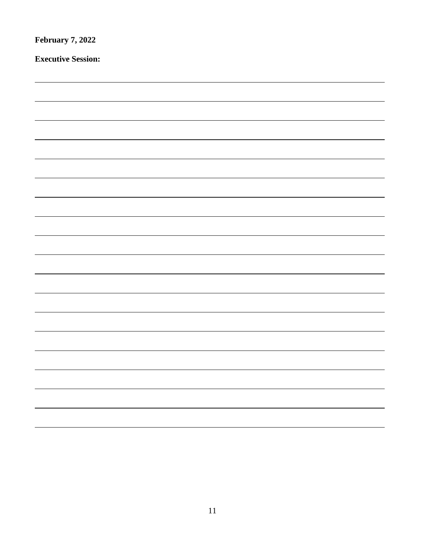| <b>February 7, 2022</b>   |  |  |  |
|---------------------------|--|--|--|
| <b>Executive Session:</b> |  |  |  |
|                           |  |  |  |
|                           |  |  |  |
|                           |  |  |  |
|                           |  |  |  |
|                           |  |  |  |
|                           |  |  |  |
|                           |  |  |  |
|                           |  |  |  |
|                           |  |  |  |
|                           |  |  |  |
|                           |  |  |  |
|                           |  |  |  |
|                           |  |  |  |
|                           |  |  |  |
|                           |  |  |  |
|                           |  |  |  |
|                           |  |  |  |
|                           |  |  |  |
|                           |  |  |  |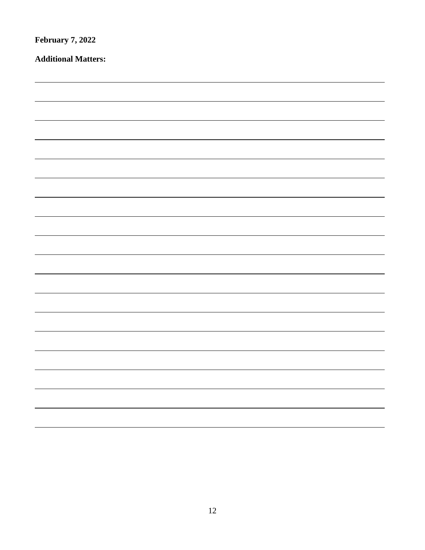| <b>February 7, 2022</b>    |  |  |  |
|----------------------------|--|--|--|
| <b>Additional Matters:</b> |  |  |  |
|                            |  |  |  |
|                            |  |  |  |
|                            |  |  |  |
|                            |  |  |  |
|                            |  |  |  |
|                            |  |  |  |
|                            |  |  |  |
|                            |  |  |  |
|                            |  |  |  |
|                            |  |  |  |
|                            |  |  |  |
|                            |  |  |  |
|                            |  |  |  |
|                            |  |  |  |
|                            |  |  |  |
|                            |  |  |  |
|                            |  |  |  |
|                            |  |  |  |
|                            |  |  |  |
|                            |  |  |  |
|                            |  |  |  |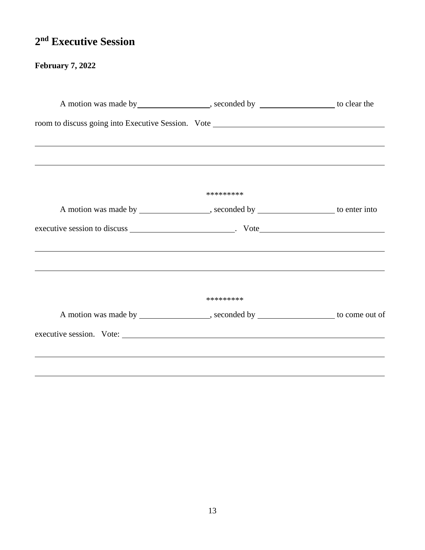# **2 nd Executive Session**

## **February 7, 2022**

|                                                                                  | A motion was made by ____________________, seconded by ___________________ to clear the |  |  |
|----------------------------------------------------------------------------------|-----------------------------------------------------------------------------------------|--|--|
|                                                                                  |                                                                                         |  |  |
| ,我们也不会有什么。""我们的人,我们也不会有什么?""我们的人,我们也不会有什么?""我们的人,我们也不会有什么?""我们的人,我们也不会有什么?""我们的人 |                                                                                         |  |  |
| ,我们也不会有什么。""我们的人,我们也不会有什么?""我们的人,我们也不会有什么?""我们的人,我们也不会有什么?""我们的人,我们也不会有什么?""我们的人 |                                                                                         |  |  |
|                                                                                  | *********                                                                               |  |  |
|                                                                                  | A motion was made by ___________________, seconded by ___________________ to enter into |  |  |
|                                                                                  |                                                                                         |  |  |
|                                                                                  |                                                                                         |  |  |
|                                                                                  | *********                                                                               |  |  |
|                                                                                  | A motion was made by _________________, seconded by _________________ to come out of    |  |  |
|                                                                                  |                                                                                         |  |  |
|                                                                                  |                                                                                         |  |  |
|                                                                                  |                                                                                         |  |  |